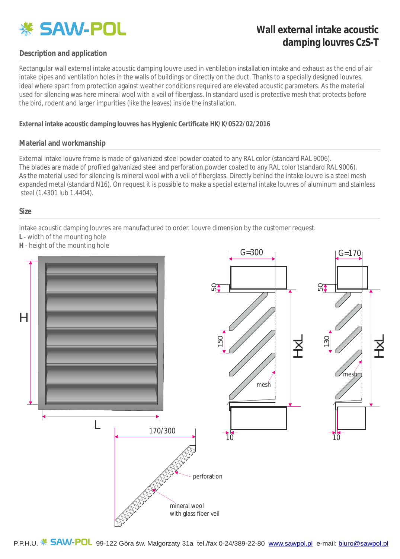

# **Wall external intake acoustic damping louvres CzS-T**

## **Description and application**

Rectangular wall external intake acoustic damping louvre used in ventilation installation intake and exhaust as the end of air intake pipes and ventilation holes in the walls of buildings or directly on the duct. Thanks to a specially designed louvres, used for silencing was here mineral wool with a veil of fiberglass. In standard used is protective mesh that protects before the bird, rodent and larger impurities (like the leaves) inside the installation. ideal where apart from protection against weather conditions required are elevated acoustic parameters. As the material

**External intake acoustic damping louvres has Hygienic Certificate HK/K/0522/02/2016**

#### **Material and workmanship**

External intake louvre frame is made of galvanized steel powder coated to any RAL color (standard RAL 9006). The blades are made of profiled galvanized steel and perforation,powder coated to any RAL color (standard RAL 9006). As the material used for silencing is mineral wool with a veil of fiberglass. Directly behind the intake louvre is a steel meshexpanded metal (standard N16). On request it is possible to make a special external intake louvres of aluminum and stainless steel (1.4301 lub 1.4404).

#### **Size**

Intake acoustic damping louvres are manufactured to order. Louvre dimension by the customer request.

- **L** width of the mounting hole
- **H** height of the mounting hole



P.P.H.U. \* SAW-POL 99-122 Góra w. Małgorzaty 31a tel./fax 0-24/389-22-80 www.sawpol.pl e-mail: biuro@sawpol.pl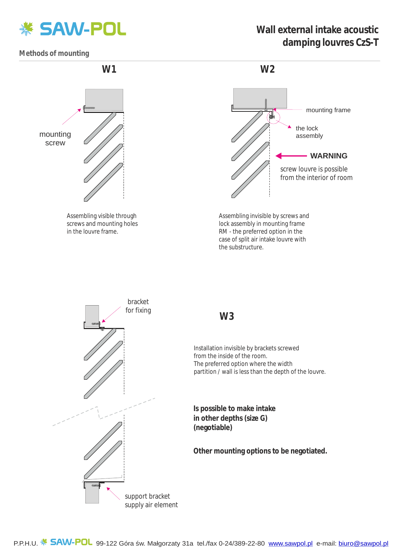

# **Wall external intake acoustic damping louvres CzS-T**

**Methods of mounting**



Assembling visible through screws and mounting holes in the louvre frame.



Assembling invisible by screws and lock assembly in mounting frame RM - the preferred option in the case of split air intake louvre with the substructure.



## **W3**

Installation invisible by brackets screwed from the inside of the room. The preferred option where the width partition / wall is less than the depth of the louvre.

**Is possible to make intake in other depths (size G) (negotiable)**

**Other mounting options to be negotiated.**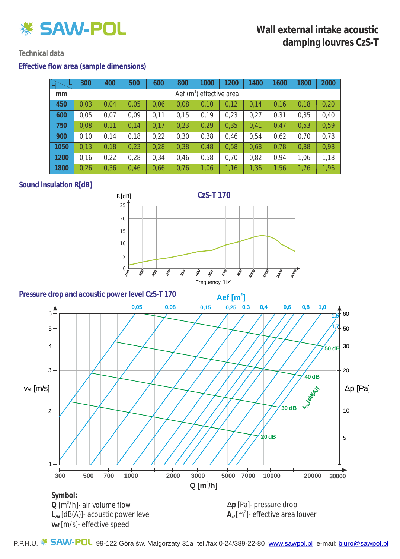

## **Technical data**

### **Effective flow area (sample dimensions)**

|      | 300                                  | 400  | 500  | 600  | 800  | 1000 | 200  | 1400 | 1600 | 1800 | 2000 |
|------|--------------------------------------|------|------|------|------|------|------|------|------|------|------|
| mm   | Aef (m <sup>2</sup> ) effective area |      |      |      |      |      |      |      |      |      |      |
| 450  | 0,03                                 | 0,04 | 0,05 | 0,06 | 0,08 | 0,10 | 0,12 | 0,14 | 0,16 | 0,18 | 0,20 |
| 600  | 0,05                                 | 0,07 | 0,09 | 0,11 | 0,15 | 0,19 | 0,23 | 0,27 | 0,31 | 0,35 | 0,40 |
| 750  | 0,08                                 | 0,11 | 0,14 | 0,17 | 0,23 | 0,29 | 0,35 | 0,41 | 0,47 | 0,53 | 0,59 |
| 900  | 0,10                                 | 0,14 | 0,18 | 0,22 | 0,30 | 0,38 | 0,46 | 0,54 | 0,62 | 0,70 | 0,78 |
| 1050 | 0,13                                 | 0,18 | 0,23 | 0,28 | 0,38 | 0,48 | 0,58 | 0,68 | 0,78 | 0,88 | 0,98 |
| 1200 | 0,16                                 | 0,22 | 0,28 | 0,34 | 0,46 | 0,58 | 0,70 | 0,82 | 0,94 | 1,06 | 1,18 |
| 1800 | 0,26                                 | 0,36 | 0,46 | 0,66 | 0,76 | 1,06 | 1,16 | 1,36 | 1,56 | 1,76 | 1,96 |

## **Sound insulation R[dB]**





P.P.H.U. **5AW-POL** 99-122 Góra w. Małgorzaty 31a tel./fax 0-24/389-22-80 www.sawpol.pl e-mail: biuro@sawpol.pl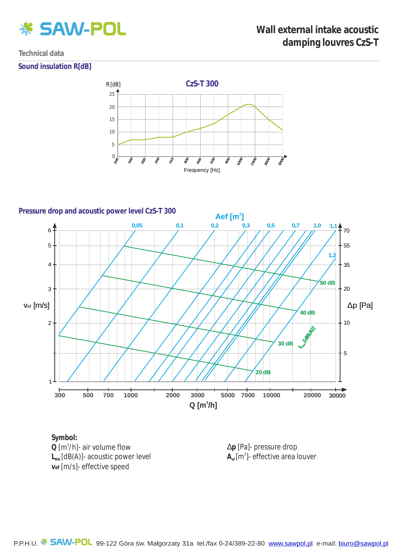

### **Technical data**

### **Sound insulation R[dB]**





**Symbol: L<sup>W</sup>** [dB(A)]- acoustic power level **<sup>A</sup>** Q [m<sup>3</sup>/h]- air volume flow **vef** [m/s]- effective speed

D**p** [Pa]- pressure drop  $\mathsf{A}_{\scriptscriptstyle\rm ef}[\mathsf{m}^{\scriptscriptstyle 2}]$ - effective area louver